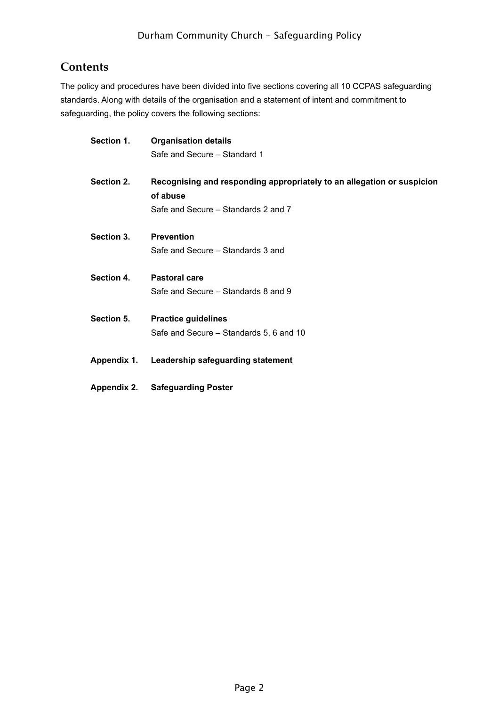# **Contents**

The policy and procedures have been divided into five sections covering all 10 CCPAS safeguarding standards. Along with details of the organisation and a statement of intent and commitment to safeguarding, the policy covers the following sections:

| Section 1.  | <b>Organisation details</b><br>Safe and Secure - Standard 1                                                               |
|-------------|---------------------------------------------------------------------------------------------------------------------------|
| Section 2.  | Recognising and responding appropriately to an allegation or suspicion<br>of abuse<br>Safe and Secure – Standards 2 and 7 |
| Section 3.  | <b>Prevention</b><br>Safe and Secure – Standards 3 and                                                                    |
| Section 4.  | <b>Pastoral care</b><br>Safe and Secure – Standards 8 and 9                                                               |
| Section 5.  | <b>Practice guidelines</b><br>Safe and Secure - Standards 5, 6 and 10                                                     |
| Appendix 1. | Leadership safeguarding statement                                                                                         |
| Appendix 2. | <b>Safeguarding Poster</b>                                                                                                |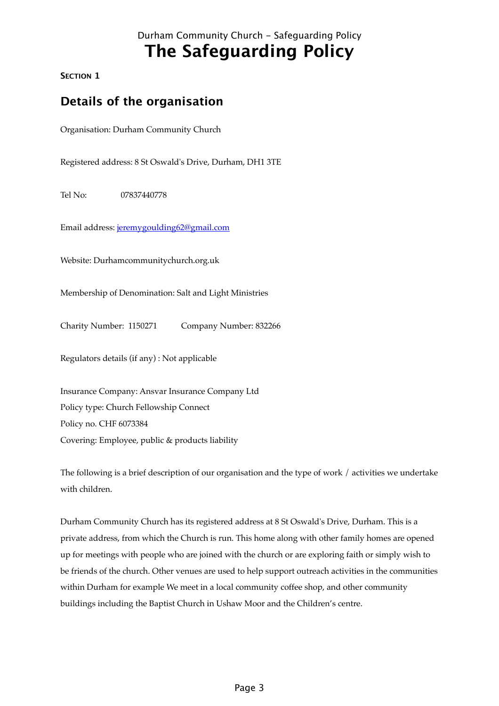# Durham Community Church - Safeguarding Policy **The Safeguarding Policy**

**SECTION 1**

# **Details of the organisation**

Organisation: Durham Community Church

Registered address: 8 St Oswald's Drive, Durham, DH1 3TE

Tel No: 07837440778

Email address: [jeremygoulding62@gmail.com](mailto:jeremygoulding62@gmail.com)

Website: Durhamcommunitychurch.org.uk

Membership of Denomination: Salt and Light Ministries

Charity Number: 1150271 Company Number: 832266

Regulators details (if any) : Not applicable

Insurance Company: Ansvar Insurance Company Ltd Policy type: Church Fellowship Connect Policy no. CHF 6073384 Covering: Employee, public & products liability

The following is a brief description of our organisation and the type of work / activities we undertake with children.

Durham Community Church has its registered address at 8 St Oswald's Drive, Durham. This is a private address, from which the Church is run. This home along with other family homes are opened up for meetings with people who are joined with the church or are exploring faith or simply wish to be friends of the church. Other venues are used to help support outreach activities in the communities within Durham for example We meet in a local community coffee shop, and other community buildings including the Baptist Church in Ushaw Moor and the Children's centre.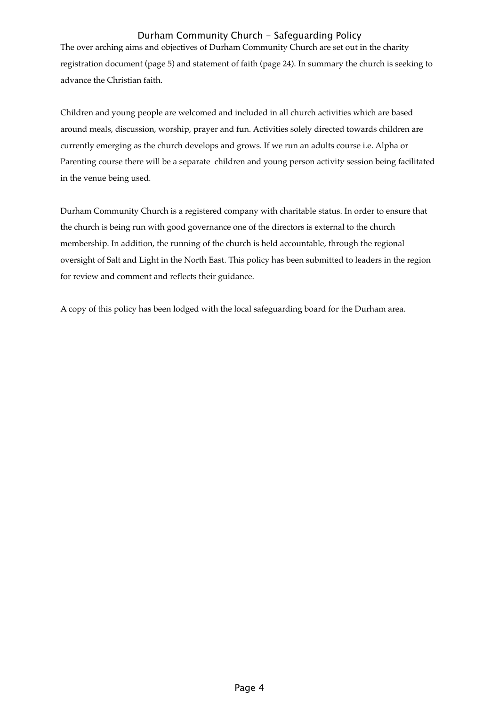The over arching aims and objectives of Durham Community Church are set out in the charity registration document (page 5) and statement of faith (page 24). In summary the church is seeking to advance the Christian faith.

Children and young people are welcomed and included in all church activities which are based around meals, discussion, worship, prayer and fun. Activities solely directed towards children are currently emerging as the church develops and grows. If we run an adults course i.e. Alpha or Parenting course there will be a separate children and young person activity session being facilitated in the venue being used.

Durham Community Church is a registered company with charitable status. In order to ensure that the church is being run with good governance one of the directors is external to the church membership. In addition, the running of the church is held accountable, through the regional oversight of Salt and Light in the North East. This policy has been submitted to leaders in the region for review and comment and reflects their guidance.

A copy of this policy has been lodged with the local safeguarding board for the Durham area.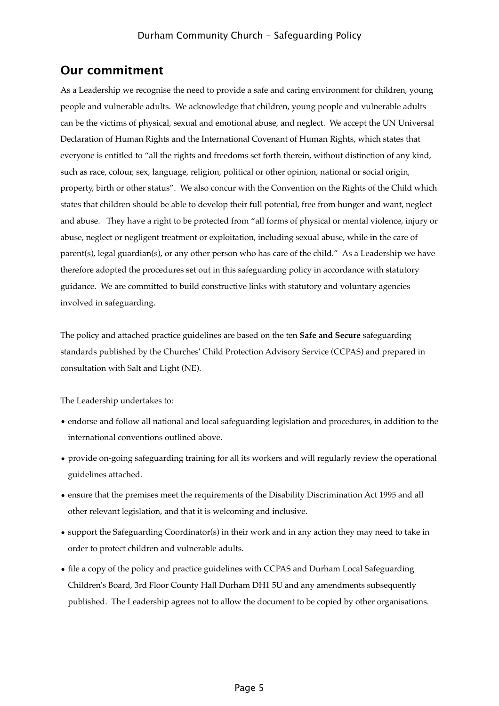# **Our commitment**

As a Leadership we recognise the need to provide a safe and caring environment for children, young people and vulnerable adults. We acknowledge that children, young people and vulnerable adults can be the victims of physical, sexual and emotional abuse, and neglect. We accept the UN Universal Declaration of Human Rights and the International Covenant of Human Rights, which states that everyone is entitled to "all the rights and freedoms set forth therein, without distinction of any kind, such as race, colour, sex, language, religion, political or other opinion, national or social origin, property, birth or other status". We also concur with the Convention on the Rights of the Child which states that children should be able to develop their full potential, free from hunger and want, neglect and abuse. They have a right to be protected from "all forms of physical or mental violence, injury or abuse, neglect or negligent treatment or exploitation, including sexual abuse, while in the care of parent(s), legal guardian(s), or any other person who has care of the child." As a Leadership we have therefore adopted the procedures set out in this safeguarding policy in accordance with statutory guidance. We are committed to build constructive links with statutory and voluntary agencies involved in safeguarding.

The policy and attached practice guidelines are based on the ten **Safe and Secure** safeguarding standards published by the Churches' Child Protection Advisory Service (CCPAS) and prepared in consultation with Salt and Light (NE).

The Leadership undertakes to:

- endorse and follow all national and local safeguarding legislation and procedures, in addition to the international conventions outlined above.
- provide on-going safeguarding training for all its workers and will regularly review the operational guidelines attached.
- ensure that the premises meet the requirements of the Disability Discrimination Act 1995 and all other relevant legislation, and that it is welcoming and inclusive.
- support the Safeguarding Coordinator(s) in their work and in any action they may need to take in order to protect children and vulnerable adults.
- file a copy of the policy and practice guidelines with CCPAS and Durham Local Safeguarding Children's Board, 3rd Floor County Hall Durham DH1 5U and any amendments subsequently published. The Leadership agrees not to allow the document to be copied by other organisations.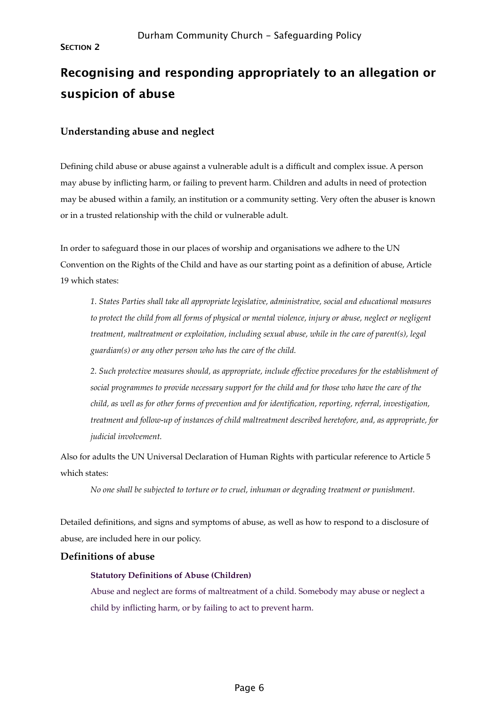# **Recognising and responding appropriately to an allegation or suspicion of abuse**

## **Understanding abuse and neglect**

Defining child abuse or abuse against a vulnerable adult is a difficult and complex issue. A person may abuse by inflicting harm, or failing to prevent harm. Children and adults in need of protection may be abused within a family, an institution or a community setting. Very often the abuser is known or in a trusted relationship with the child or vulnerable adult.

In order to safeguard those in our places of worship and organisations we adhere to the UN Convention on the Rights of the Child and have as our starting point as a definition of abuse, Article 19 which states:

*1. States Parties shall take all appropriate legislative, administrative, social and educational measures to protect the child from all forms of physical or mental violence, injury or abuse, neglect or negligent treatment, maltreatment or exploitation, including sexual abuse, while in the care of parent(s), legal guardian(s) or any other person who has the care of the child.* 

*2. Such protective measures should, as appropriate, include effective procedures for the establishment of social programmes to provide necessary support for the child and for those who have the care of the child, as well as for other forms of prevention and for identification, reporting, referral, investigation, treatment and follow-up of instances of child maltreatment described heretofore, and, as appropriate, for judicial involvement.* 

Also for adults the UN Universal Declaration of Human Rights with particular reference to Article 5 which states:

*No one shall be subjected to torture or to cruel, inhuman or degrading treatment or punishment.*

Detailed definitions, and signs and symptoms of abuse, as well as how to respond to a disclosure of abuse, are included here in our policy.

#### **Definitions of abuse**

#### **Statutory Definitions of Abuse (Children)**

Abuse and neglect are forms of maltreatment of a child. Somebody may abuse or neglect a child by inflicting harm, or by failing to act to prevent harm.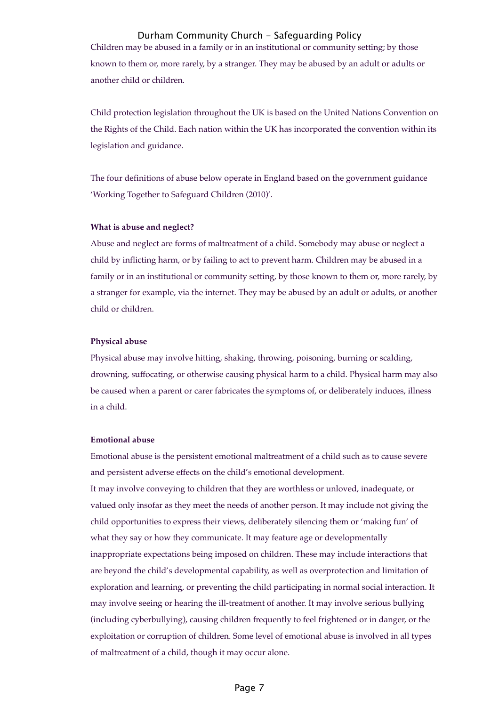Children may be abused in a family or in an institutional or community setting; by those known to them or, more rarely, by a stranger. They may be abused by an adult or adults or another child or children.

Child protection legislation throughout the UK is based on the United Nations Convention on the Rights of the Child. Each nation within the UK has incorporated the convention within its legislation and guidance.

The four definitions of abuse below operate in England based on the government guidance 'Working Together to Safeguard Children (2010)'.

#### **What is abuse and neglect?**

Abuse and neglect are forms of maltreatment of a child. Somebody may abuse or neglect a child by inflicting harm, or by failing to act to prevent harm. Children may be abused in a family or in an institutional or community setting, by those known to them or, more rarely, by a stranger for example, via the internet. They may be abused by an adult or adults, or another child or children.

#### **Physical abuse**

Physical abuse may involve hitting, shaking, throwing, poisoning, burning or scalding, drowning, suffocating, or otherwise causing physical harm to a child. Physical harm may also be caused when a parent or carer fabricates the symptoms of, or deliberately induces, illness in a child.

#### **Emotional abuse**

Emotional abuse is the persistent emotional maltreatment of a child such as to cause severe and persistent adverse effects on the child's emotional development. It may involve conveying to children that they are worthless or unloved, inadequate, or valued only insofar as they meet the needs of another person. It may include not giving the child opportunities to express their views, deliberately silencing them or 'making fun' of what they say or how they communicate. It may feature age or developmentally inappropriate expectations being imposed on children. These may include interactions that are beyond the child's developmental capability, as well as overprotection and limitation of exploration and learning, or preventing the child participating in normal social interaction. It may involve seeing or hearing the ill-treatment of another. It may involve serious bullying (including cyberbullying), causing children frequently to feel frightened or in danger, or the exploitation or corruption of children. Some level of emotional abuse is involved in all types

of maltreatment of a child, though it may occur alone.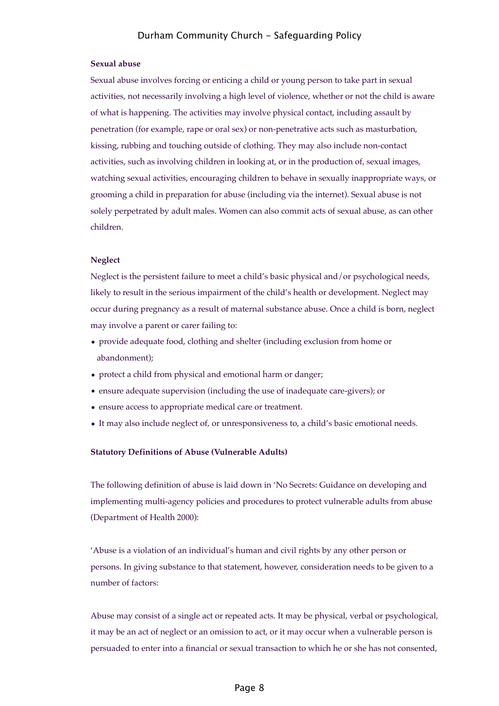#### **Sexual abuse**

Sexual abuse involves forcing or enticing a child or young person to take part in sexual activities, not necessarily involving a high level of violence, whether or not the child is aware of what is happening. The activities may involve physical contact, including assault by penetration (for example, rape or oral sex) or non-penetrative acts such as masturbation, kissing, rubbing and touching outside of clothing. They may also include non-contact activities, such as involving children in looking at, or in the production of, sexual images, watching sexual activities, encouraging children to behave in sexually inappropriate ways, or grooming a child in preparation for abuse (including via the internet). Sexual abuse is not solely perpetrated by adult males. Women can also commit acts of sexual abuse, as can other children.

#### **Neglect**

Neglect is the persistent failure to meet a child's basic physical and/or psychological needs, likely to result in the serious impairment of the child's health or development. Neglect may occur during pregnancy as a result of maternal substance abuse. Once a child is born, neglect may involve a parent or carer failing to:

- provide adequate food, clothing and shelter (including exclusion from home or abandonment);
- protect a child from physical and emotional harm or danger;
- ensure adequate supervision (including the use of inadequate care-givers); or
- ensure access to appropriate medical care or treatment.
- It may also include neglect of, or unresponsiveness to, a child's basic emotional needs.

#### **Statutory Definitions of Abuse (Vulnerable Adults)**

The following definition of abuse is laid down in 'No Secrets: Guidance on developing and implementing multi-agency policies and procedures to protect vulnerable adults from abuse (Department of Health 2000):

'Abuse is a violation of an individual's human and civil rights by any other person or persons. In giving substance to that statement, however, consideration needs to be given to a number of factors:

Abuse may consist of a single act or repeated acts. It may be physical, verbal or psychological, it may be an act of neglect or an omission to act, or it may occur when a vulnerable person is persuaded to enter into a financial or sexual transaction to which he or she has not consented,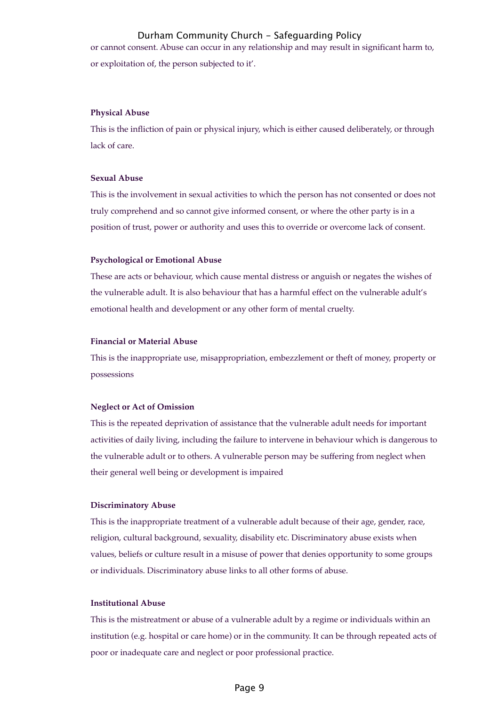or cannot consent. Abuse can occur in any relationship and may result in significant harm to, or exploitation of, the person subjected to it'.

#### **Physical Abuse**

This is the infliction of pain or physical injury, which is either caused deliberately, or through lack of care.

#### **Sexual Abuse**

This is the involvement in sexual activities to which the person has not consented or does not truly comprehend and so cannot give informed consent, or where the other party is in a position of trust, power or authority and uses this to override or overcome lack of consent.

#### **Psychological or Emotional Abuse**

These are acts or behaviour, which cause mental distress or anguish or negates the wishes of the vulnerable adult. It is also behaviour that has a harmful effect on the vulnerable adult's emotional health and development or any other form of mental cruelty.

#### **Financial or Material Abuse**

This is the inappropriate use, misappropriation, embezzlement or theft of money, property or possessions

#### **Neglect or Act of Omission**

This is the repeated deprivation of assistance that the vulnerable adult needs for important activities of daily living, including the failure to intervene in behaviour which is dangerous to the vulnerable adult or to others. A vulnerable person may be suffering from neglect when their general well being or development is impaired

#### **Discriminatory Abuse**

This is the inappropriate treatment of a vulnerable adult because of their age, gender, race, religion, cultural background, sexuality, disability etc. Discriminatory abuse exists when values, beliefs or culture result in a misuse of power that denies opportunity to some groups or individuals. Discriminatory abuse links to all other forms of abuse.

#### **Institutional Abuse**

This is the mistreatment or abuse of a vulnerable adult by a regime or individuals within an institution (e.g. hospital or care home) or in the community. It can be through repeated acts of poor or inadequate care and neglect or poor professional practice.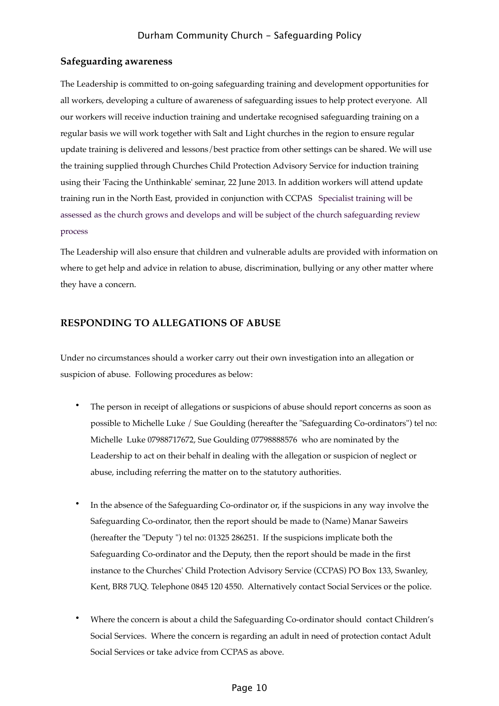#### **Safeguarding awareness**

The Leadership is committed to on-going safeguarding training and development opportunities for all workers, developing a culture of awareness of safeguarding issues to help protect everyone. All our workers will receive induction training and undertake recognised safeguarding training on a regular basis we will work together with Salt and Light churches in the region to ensure regular update training is delivered and lessons/best practice from other settings can be shared. We will use the training supplied through Churches Child Protection Advisory Service for induction training using their 'Facing the Unthinkable' seminar, 22 June 2013. In addition workers will attend update training run in the North East, provided in conjunction with CCPAS Specialist training will be assessed as the church grows and develops and will be subject of the church safeguarding review process

The Leadership will also ensure that children and vulnerable adults are provided with information on where to get help and advice in relation to abuse, discrimination, bullying or any other matter where they have a concern.

#### **RESPONDING TO ALLEGATIONS OF ABUSE**

Under no circumstances should a worker carry out their own investigation into an allegation or suspicion of abuse. Following procedures as below:

- The person in receipt of allegations or suspicions of abuse should report concerns as soon as possible to Michelle Luke / Sue Goulding (hereafter the "Safeguarding Co-ordinators") tel no: Michelle Luke 07988717672, Sue Goulding 07798888576 who are nominated by the Leadership to act on their behalf in dealing with the allegation or suspicion of neglect or abuse, including referring the matter on to the statutory authorities.
- In the absence of the Safeguarding Co-ordinator or, if the suspicions in any way involve the Safeguarding Co-ordinator, then the report should be made to (Name) Manar Saweirs (hereafter the "Deputy ") tel no: 01325 286251. If the suspicions implicate both the Safeguarding Co-ordinator and the Deputy, then the report should be made in the first instance to the Churches' Child Protection Advisory Service (CCPAS) PO Box 133, Swanley, Kent, BR8 7UQ. Telephone 0845 120 4550. Alternatively contact Social Services or the police.
- Where the concern is about a child the Safeguarding Co-ordinator should contact Children's Social Services. Where the concern is regarding an adult in need of protection contact Adult Social Services or take advice from CCPAS as above.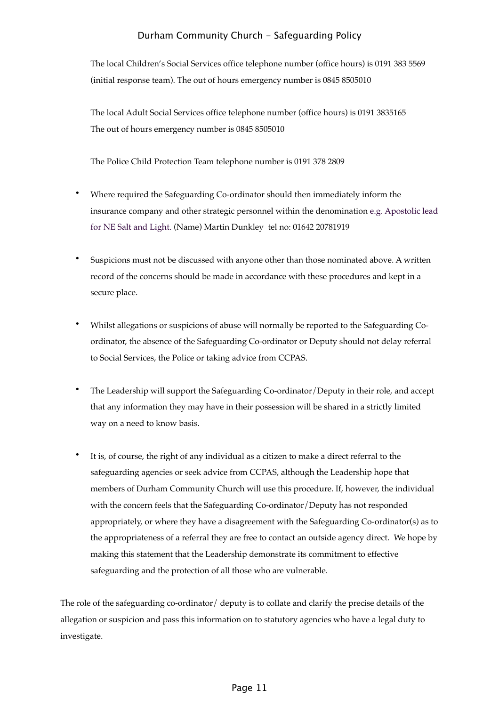The local Children's Social Services office telephone number (office hours) is 0191 383 5569 (initial response team). The out of hours emergency number is 0845 8505010

The local Adult Social Services office telephone number (office hours) is 0191 3835165 The out of hours emergency number is 0845 8505010

The Police Child Protection Team telephone number is 0191 378 2809

- Where required the Safeguarding Co-ordinator should then immediately inform the insurance company and other strategic personnel within the denomination e.g. Apostolic lead for NE Salt and Light. (Name) Martin Dunkley tel no: 01642 20781919
- Suspicions must not be discussed with anyone other than those nominated above. A written record of the concerns should be made in accordance with these procedures and kept in a secure place.
- Whilst allegations or suspicions of abuse will normally be reported to the Safeguarding Coordinator, the absence of the Safeguarding Co-ordinator or Deputy should not delay referral to Social Services, the Police or taking advice from CCPAS.
- The Leadership will support the Safeguarding Co-ordinator/Deputy in their role, and accept that any information they may have in their possession will be shared in a strictly limited way on a need to know basis.
- It is, of course, the right of any individual as a citizen to make a direct referral to the safeguarding agencies or seek advice from CCPAS, although the Leadership hope that members of Durham Community Church will use this procedure. If, however, the individual with the concern feels that the Safeguarding Co-ordinator/Deputy has not responded appropriately, or where they have a disagreement with the Safeguarding Co-ordinator(s) as to the appropriateness of a referral they are free to contact an outside agency direct. We hope by making this statement that the Leadership demonstrate its commitment to effective safeguarding and the protection of all those who are vulnerable.

The role of the safeguarding co-ordinator/ deputy is to collate and clarify the precise details of the allegation or suspicion and pass this information on to statutory agencies who have a legal duty to investigate.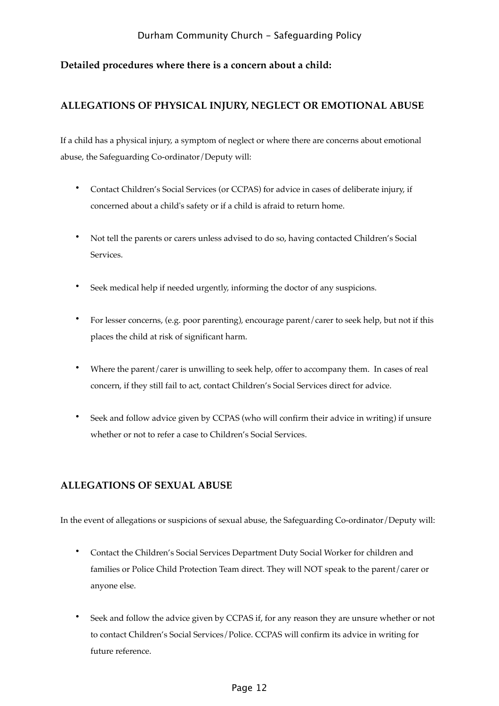## **Detailed procedures where there is a concern about a child:**

## **ALLEGATIONS OF PHYSICAL INJURY, NEGLECT OR EMOTIONAL ABUSE**

If a child has a physical injury, a symptom of neglect or where there are concerns about emotional abuse, the Safeguarding Co-ordinator/Deputy will:

- Contact Children's Social Services (or CCPAS) for advice in cases of deliberate injury, if concerned about a child's safety or if a child is afraid to return home.
- Not tell the parents or carers unless advised to do so, having contacted Children's Social Services.
- Seek medical help if needed urgently, informing the doctor of any suspicions.
- For lesser concerns, (e.g. poor parenting), encourage parent/carer to seek help, but not if this places the child at risk of significant harm.
- Where the parent/carer is unwilling to seek help, offer to accompany them. In cases of real concern, if they still fail to act, contact Children's Social Services direct for advice.
- Seek and follow advice given by CCPAS (who will confirm their advice in writing) if unsure whether or not to refer a case to Children's Social Services.

## **ALLEGATIONS OF SEXUAL ABUSE**

In the event of allegations or suspicions of sexual abuse, the Safeguarding Co-ordinator/Deputy will:

- Contact the Children's Social Services Department Duty Social Worker for children and families or Police Child Protection Team direct. They will NOT speak to the parent/carer or anyone else.
- Seek and follow the advice given by CCPAS if, for any reason they are unsure whether or not to contact Children's Social Services/Police. CCPAS will confirm its advice in writing for future reference.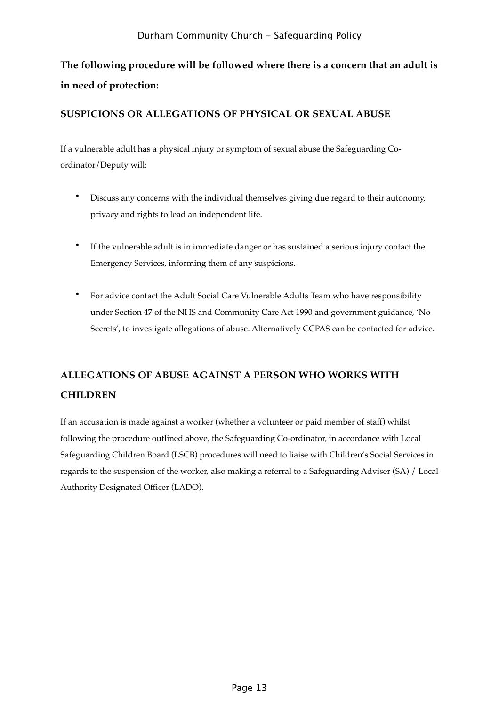# **The following procedure will be followed where there is a concern that an adult is in need of protection:**

## **SUSPICIONS OR ALLEGATIONS OF PHYSICAL OR SEXUAL ABUSE**

If a vulnerable adult has a physical injury or symptom of sexual abuse the Safeguarding Coordinator/Deputy will:

- Discuss any concerns with the individual themselves giving due regard to their autonomy, privacy and rights to lead an independent life.
- If the vulnerable adult is in immediate danger or has sustained a serious injury contact the Emergency Services, informing them of any suspicions.
- For advice contact the Adult Social Care Vulnerable Adults Team who have responsibility under Section 47 of the NHS and Community Care Act 1990 and government guidance, 'No Secrets', to investigate allegations of abuse. Alternatively CCPAS can be contacted for advice.

# **ALLEGATIONS OF ABUSE AGAINST A PERSON WHO WORKS WITH CHILDREN**

If an accusation is made against a worker (whether a volunteer or paid member of staff) whilst following the procedure outlined above, the Safeguarding Co-ordinator, in accordance with Local Safeguarding Children Board (LSCB) procedures will need to liaise with Children's Social Services in regards to the suspension of the worker, also making a referral to a Safeguarding Adviser (SA) / Local Authority Designated Officer (LADO).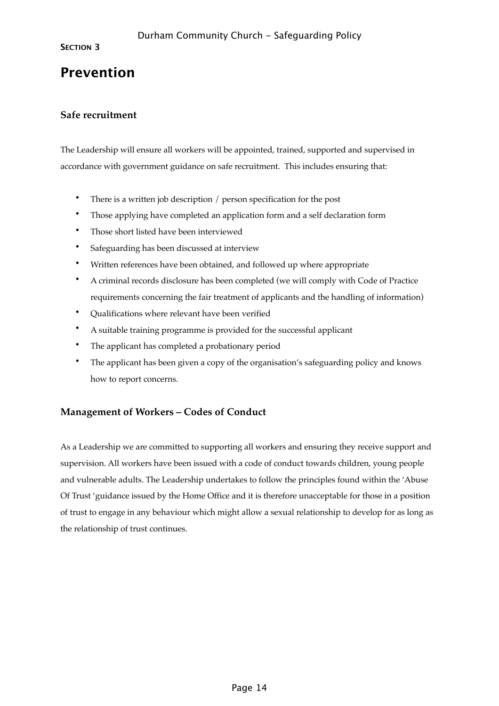# **Prevention**

## **Safe recruitment**

The Leadership will ensure all workers will be appointed, trained, supported and supervised in accordance with government guidance on safe recruitment. This includes ensuring that:

- There is a written job description / person specification for the post
- Those applying have completed an application form and a self declaration form
- Those short listed have been interviewed
- Safeguarding has been discussed at interview
- Written references have been obtained, and followed up where appropriate
- A criminal records disclosure has been completed (we will comply with Code of Practice requirements concerning the fair treatment of applicants and the handling of information)
- Qualifications where relevant have been verified
- A suitable training programme is provided for the successful applicant
- The applicant has completed a probationary period
- The applicant has been given a copy of the organisation's safeguarding policy and knows how to report concerns.

## **Management of Workers – Codes of Conduct**

As a Leadership we are committed to supporting all workers and ensuring they receive support and supervision. All workers have been issued with a code of conduct towards children, young people and vulnerable adults. The Leadership undertakes to follow the principles found within the 'Abuse Of Trust 'guidance issued by the Home Office and it is therefore unacceptable for those in a position of trust to engage in any behaviour which might allow a sexual relationship to develop for as long as the relationship of trust continues.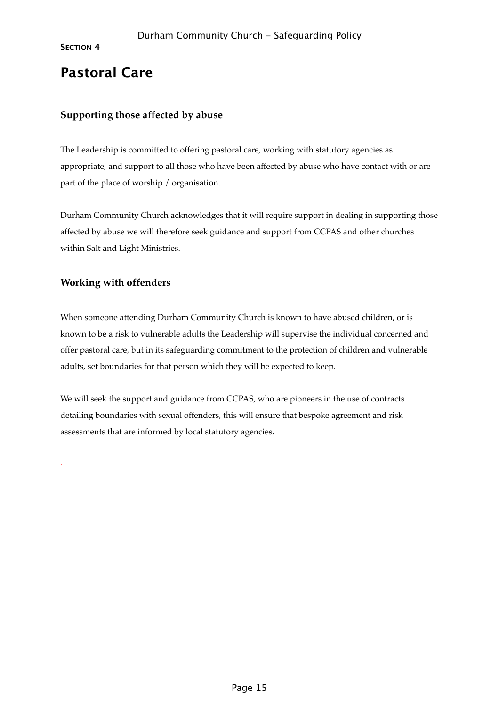# **Pastoral Care**

## **Supporting those affected by abuse**

The Leadership is committed to offering pastoral care, working with statutory agencies as appropriate, and support to all those who have been affected by abuse who have contact with or are part of the place of worship / organisation.

Durham Community Church acknowledges that it will require support in dealing in supporting those affected by abuse we will therefore seek guidance and support from CCPAS and other churches within Salt and Light Ministries.

## **Working with offenders**

.

When someone attending Durham Community Church is known to have abused children, or is known to be a risk to vulnerable adults the Leadership will supervise the individual concerned and offer pastoral care, but in its safeguarding commitment to the protection of children and vulnerable adults, set boundaries for that person which they will be expected to keep.

We will seek the support and guidance from CCPAS, who are pioneers in the use of contracts detailing boundaries with sexual offenders, this will ensure that bespoke agreement and risk assessments that are informed by local statutory agencies.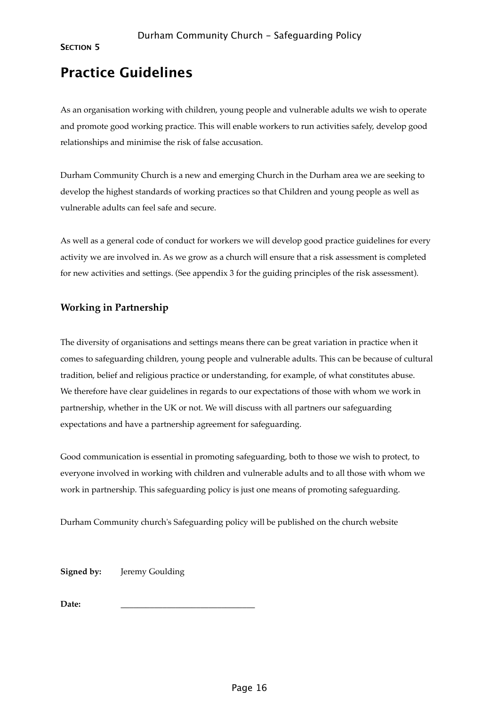# **Practice Guidelines**

As an organisation working with children, young people and vulnerable adults we wish to operate and promote good working practice. This will enable workers to run activities safely, develop good relationships and minimise the risk of false accusation.

Durham Community Church is a new and emerging Church in the Durham area we are seeking to develop the highest standards of working practices so that Children and young people as well as vulnerable adults can feel safe and secure.

As well as a general code of conduct for workers we will develop good practice guidelines for every activity we are involved in. As we grow as a church will ensure that a risk assessment is completed for new activities and settings. (See appendix 3 for the guiding principles of the risk assessment).

## **Working in Partnership**

The diversity of organisations and settings means there can be great variation in practice when it comes to safeguarding children, young people and vulnerable adults. This can be because of cultural tradition, belief and religious practice or understanding, for example, of what constitutes abuse. We therefore have clear guidelines in regards to our expectations of those with whom we work in partnership, whether in the UK or not. We will discuss with all partners our safeguarding expectations and have a partnership agreement for safeguarding.

Good communication is essential in promoting safeguarding, both to those we wish to protect, to everyone involved in working with children and vulnerable adults and to all those with whom we work in partnership. This safeguarding policy is just one means of promoting safeguarding.

Durham Community church's Safeguarding policy will be published on the church website

**Signed by:** Jeremy Goulding

**Date:! ! \_\_\_\_\_\_\_\_\_\_\_\_\_\_\_\_\_\_\_\_\_\_\_\_\_\_\_\_\_\_\_\_**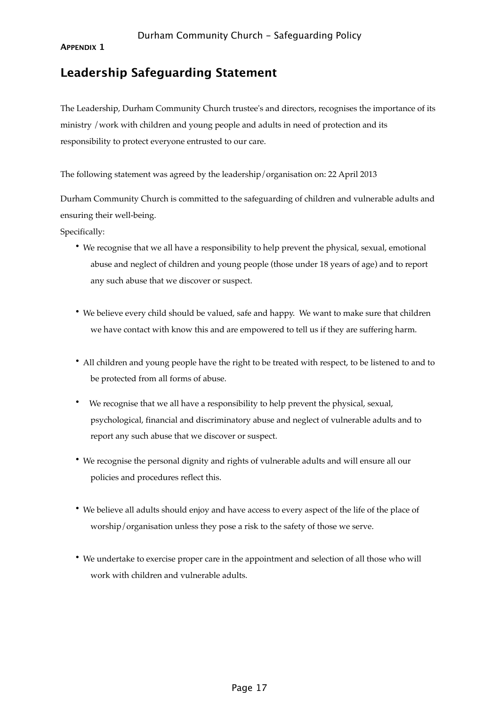#### **APPENDIX 1**

# **Leadership Safeguarding Statement**

The Leadership, Durham Community Church trustee's and directors, recognises the importance of its ministry /work with children and young people and adults in need of protection and its responsibility to protect everyone entrusted to our care.

The following statement was agreed by the leadership/organisation on: 22 April 2013

Durham Community Church is committed to the safeguarding of children and vulnerable adults and ensuring their well-being.

Specifically:

- We recognise that we all have a responsibility to help prevent the physical, sexual, emotional abuse and neglect of children and young people (those under 18 years of age) and to report any such abuse that we discover or suspect.
- We believe every child should be valued, safe and happy. We want to make sure that children we have contact with know this and are empowered to tell us if they are suffering harm.
- All children and young people have the right to be treated with respect, to be listened to and to be protected from all forms of abuse.
- We recognise that we all have a responsibility to help prevent the physical, sexual, psychological, financial and discriminatory abuse and neglect of vulnerable adults and to report any such abuse that we discover or suspect.
- We recognise the personal dignity and rights of vulnerable adults and will ensure all our policies and procedures reflect this.
- We believe all adults should enjoy and have access to every aspect of the life of the place of worship/organisation unless they pose a risk to the safety of those we serve.
- We undertake to exercise proper care in the appointment and selection of all those who will work with children and vulnerable adults.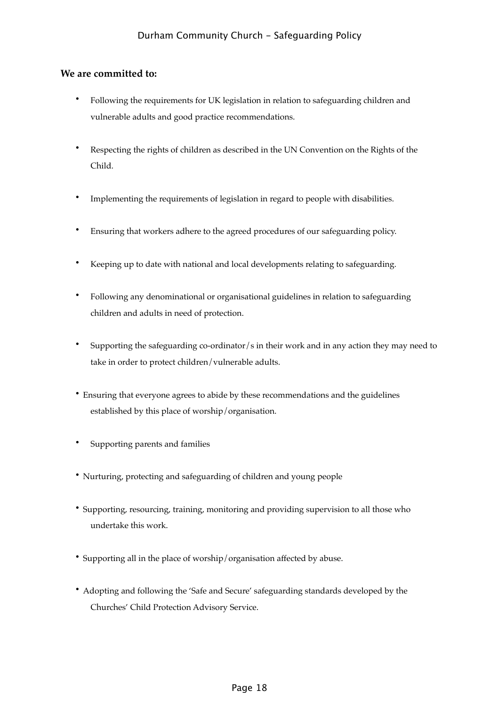#### **We are committed to:**

- Following the requirements for UK legislation in relation to safeguarding children and vulnerable adults and good practice recommendations.
- Respecting the rights of children as described in the UN Convention on the Rights of the Child.
- Implementing the requirements of legislation in regard to people with disabilities.
- Ensuring that workers adhere to the agreed procedures of our safeguarding policy.
- Keeping up to date with national and local developments relating to safeguarding.
- Following any denominational or organisational guidelines in relation to safeguarding children and adults in need of protection.
- Supporting the safeguarding co-ordinator/s in their work and in any action they may need to take in order to protect children/vulnerable adults.
- Ensuring that everyone agrees to abide by these recommendations and the guidelines established by this place of worship/organisation.
- Supporting parents and families
- Nurturing, protecting and safeguarding of children and young people
- Supporting, resourcing, training, monitoring and providing supervision to all those who undertake this work.
- Supporting all in the place of worship/organisation affected by abuse.
- Adopting and following the 'Safe and Secure' safeguarding standards developed by the Churches' Child Protection Advisory Service.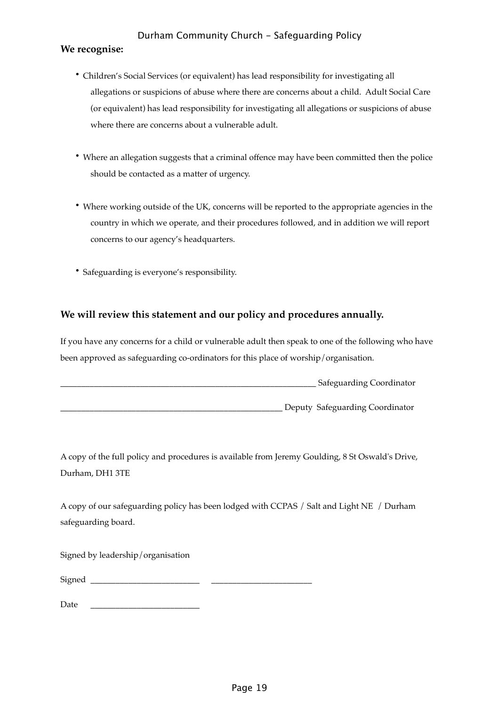#### **We recognise:**

- Children's Social Services (or equivalent) has lead responsibility for investigating all allegations or suspicions of abuse where there are concerns about a child. Adult Social Care (or equivalent) has lead responsibility for investigating all allegations or suspicions of abuse where there are concerns about a vulnerable adult.
- Where an allegation suggests that a criminal offence may have been committed then the police should be contacted as a matter of urgency.
- Where working outside of the UK, concerns will be reported to the appropriate agencies in the country in which we operate, and their procedures followed, and in addition we will report concerns to our agency's headquarters.
- Safeguarding is everyone's responsibility.

## **We will review this statement and our policy and procedures annually.**

If you have any concerns for a child or vulnerable adult then speak to one of the following who have been approved as safeguarding co-ordinators for this place of worship/organisation.

\_\_\_\_\_\_\_\_\_\_\_\_\_\_\_\_\_\_\_\_\_\_\_\_\_\_\_\_\_\_\_\_\_\_\_\_\_\_\_\_\_\_\_\_\_\_\_\_\_\_\_\_\_\_\_\_\_\_\_\_\_ Safeguarding Coordinator

\_\_\_\_\_\_\_\_\_\_\_\_\_\_\_\_\_\_\_\_\_\_\_\_\_\_\_\_\_\_\_\_\_\_\_\_\_\_\_\_\_\_\_\_\_\_\_\_\_\_\_\_\_ Deputy Safeguarding Coordinator

A copy of the full policy and procedures is available from Jeremy Goulding, 8 St Oswald's Drive, Durham, DH1 3TE

A copy of our safeguarding policy has been lodged with CCPAS / Salt and Light NE / Durham safeguarding board.

Signed by leadership/organisation

| Signed |  |
|--------|--|
|        |  |
|        |  |

Date